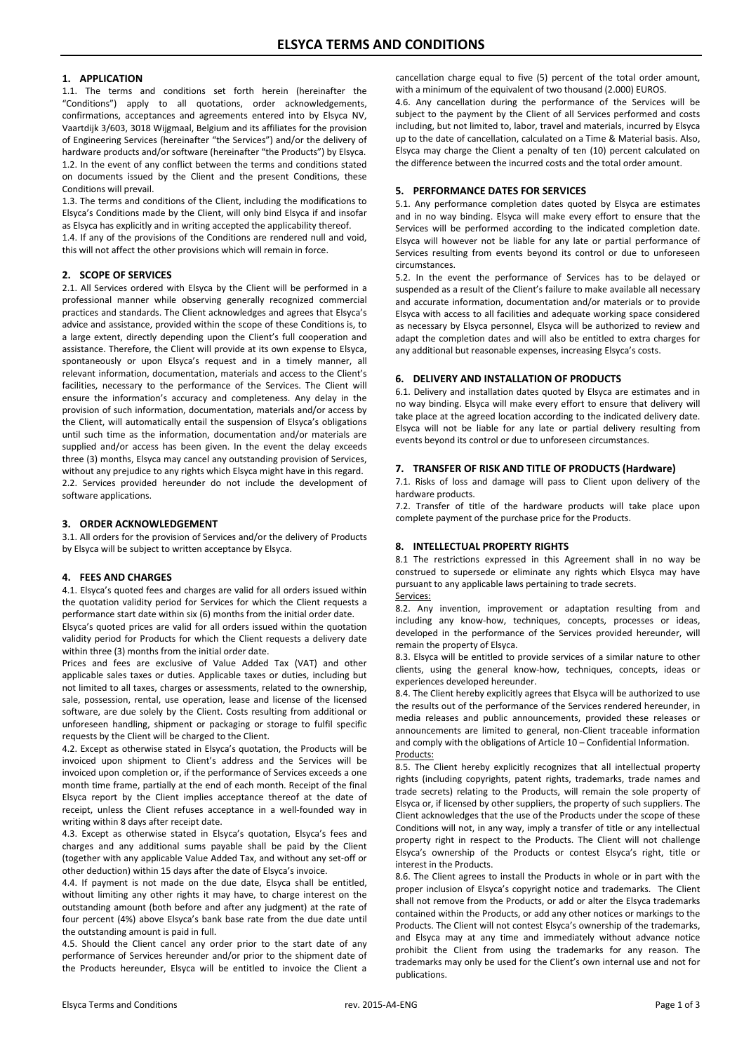# **1. APPLICATION**

1.1. The terms and conditions set forth herein (hereinafter the "Conditions") apply to all quotations, order acknowledgements, confirmations, acceptances and agreements entered into by Elsyca NV, Vaartdijk 3/603, 3018 Wijgmaal, Belgium and its affiliates for the provision of Engineering Services (hereinafter "the Services") and/or the delivery of hardware products and/or software (hereinafter "the Products") by Elsyca. 1.2. In the event of any conflict between the terms and conditions stated on documents issued by the Client and the present Conditions, these Conditions will prevail.

1.3. The terms and conditions of the Client, including the modifications to Elsyca's Conditions made by the Client, will only bind Elsyca if and insofar as Elsyca has explicitly and in writing accepted the applicability thereof.

1.4. If any of the provisions of the Conditions are rendered null and void, this will not affect the other provisions which will remain in force.

# **2. SCOPE OF SERVICES**

2.1. All Services ordered with Elsyca by the Client will be performed in a professional manner while observing generally recognized commercial practices and standards. The Client acknowledges and agrees that Elsyca's advice and assistance, provided within the scope of these Conditions is, to a large extent, directly depending upon the Client's full cooperation and assistance. Therefore, the Client will provide at its own expense to Elsyca, spontaneously or upon Elsyca's request and in a timely manner, all relevant information, documentation, materials and access to the Client's facilities, necessary to the performance of the Services. The Client will ensure the information's accuracy and completeness. Any delay in the provision of such information, documentation, materials and/or access by the Client, will automatically entail the suspension of Elsyca's obligations until such time as the information, documentation and/or materials are supplied and/or access has been given. In the event the delay exceeds three (3) months, Elsyca may cancel any outstanding provision of Services, without any prejudice to any rights which Elsyca might have in this regard. 2.2. Services provided hereunder do not include the development of software applications.

### **3. ORDER ACKNOWLEDGEMENT**

3.1. All orders for the provision of Services and/or the delivery of Products by Elsyca will be subject to written acceptance by Elsyca.

### **4. FEES AND CHARGES**

4.1. Elsyca's quoted fees and charges are valid for all orders issued within the quotation validity period for Services for which the Client requests a performance start date within six (6) months from the initial order date.

Elsyca's quoted prices are valid for all orders issued within the quotation validity period for Products for which the Client requests a delivery date within three (3) months from the initial order date.

Prices and fees are exclusive of Value Added Tax (VAT) and other applicable sales taxes or duties. Applicable taxes or duties, including but not limited to all taxes, charges or assessments, related to the ownership, sale, possession, rental, use operation, lease and license of the licensed software, are due solely by the Client. Costs resulting from additional or unforeseen handling, shipment or packaging or storage to fulfil specific requests by the Client will be charged to the Client.

4.2. Except as otherwise stated in Elsyca's quotation, the Products will be invoiced upon shipment to Client's address and the Services will be invoiced upon completion or, if the performance of Services exceeds a one month time frame, partially at the end of each month. Receipt of the final Elsyca report by the Client implies acceptance thereof at the date of receipt, unless the Client refuses acceptance in a well-founded way in writing within 8 days after receipt date.

4.3. Except as otherwise stated in Elsyca's quotation, Elsyca's fees and charges and any additional sums payable shall be paid by the Client (together with any applicable Value Added Tax, and without any set-off or other deduction) within 15 days after the date of Elsyca's invoice.

4.4. If payment is not made on the due date, Elsyca shall be entitled, without limiting any other rights it may have, to charge interest on the outstanding amount (both before and after any judgment) at the rate of four percent (4%) above Elsyca's bank base rate from the due date until the outstanding amount is paid in full.

4.5. Should the Client cancel any order prior to the start date of any performance of Services hereunder and/or prior to the shipment date of the Products hereunder, Elsyca will be entitled to invoice the Client a

cancellation charge equal to five (5) percent of the total order amount, with a minimum of the equivalent of two thousand (2.000) EUROS.

4.6. Any cancellation during the performance of the Services will be subject to the payment by the Client of all Services performed and costs including, but not limited to, labor, travel and materials, incurred by Elsyca up to the date of cancellation, calculated on a Time & Material basis. Also, Elsyca may charge the Client a penalty of ten (10) percent calculated on the difference between the incurred costs and the total order amount.

## **5. PERFORMANCE DATES FOR SERVICES**

5.1. Any performance completion dates quoted by Elsyca are estimates and in no way binding. Elsyca will make every effort to ensure that the Services will be performed according to the indicated completion date. Elsyca will however not be liable for any late or partial performance of Services resulting from events beyond its control or due to unforeseen circumstances.

5.2. In the event the performance of Services has to be delayed or suspended as a result of the Client's failure to make available all necessary and accurate information, documentation and/or materials or to provide Elsyca with access to all facilities and adequate working space considered as necessary by Elsyca personnel, Elsyca will be authorized to review and adapt the completion dates and will also be entitled to extra charges for any additional but reasonable expenses, increasing Elsyca's costs.

### **6. DELIVERY AND INSTALLATION OF PRODUCTS**

6.1. Delivery and installation dates quoted by Elsyca are estimates and in no way binding. Elsyca will make every effort to ensure that delivery will take place at the agreed location according to the indicated delivery date. Elsyca will not be liable for any late or partial delivery resulting from events beyond its control or due to unforeseen circumstances.

### **7. TRANSFER OF RISK AND TITLE OF PRODUCTS (Hardware)**

7.1. Risks of loss and damage will pass to Client upon delivery of the hardware products.

7.2. Transfer of title of the hardware products will take place upon complete payment of the purchase price for the Products.

## **8. INTELLECTUAL PROPERTY RIGHTS**

8.1 The restrictions expressed in this Agreement shall in no way be construed to supersede or eliminate any rights which Elsyca may have pursuant to any applicable laws pertaining to trade secrets. Services:

8.2. Any invention, improvement or adaptation resulting from and including any know-how, techniques, concepts, processes or ideas, developed in the performance of the Services provided hereunder, will remain the property of Elsyca.

8.3. Elsyca will be entitled to provide services of a similar nature to other clients, using the general know-how, techniques, concepts, ideas or experiences developed hereunder.

8.4. The Client hereby explicitly agrees that Elsyca will be authorized to use the results out of the performance of the Services rendered hereunder, in media releases and public announcements, provided these releases or announcements are limited to general, non-Client traceable information and comply with the obligations of Article 10 – Confidential Information. Products:

8.5. The Client hereby explicitly recognizes that all intellectual property rights (including copyrights, patent rights, trademarks, trade names and trade secrets) relating to the Products, will remain the sole property of Elsyca or, if licensed by other suppliers, the property of such suppliers. The Client acknowledges that the use of the Products under the scope of these Conditions will not, in any way, imply a transfer of title or any intellectual property right in respect to the Products. The Client will not challenge Elsyca's ownership of the Products or contest Elsyca's right, title or interest in the Products.

8.6. The Client agrees to install the Products in whole or in part with the proper inclusion of Elsyca's copyright notice and trademarks. The Client shall not remove from the Products, or add or alter the Elsyca trademarks contained within the Products, or add any other notices or markings to the Products. The Client will not contest Elsyca's ownership of the trademarks, and Elsyca may at any time and immediately without advance notice prohibit the Client from using the trademarks for any reason. The trademarks may only be used for the Client's own internal use and not for publications.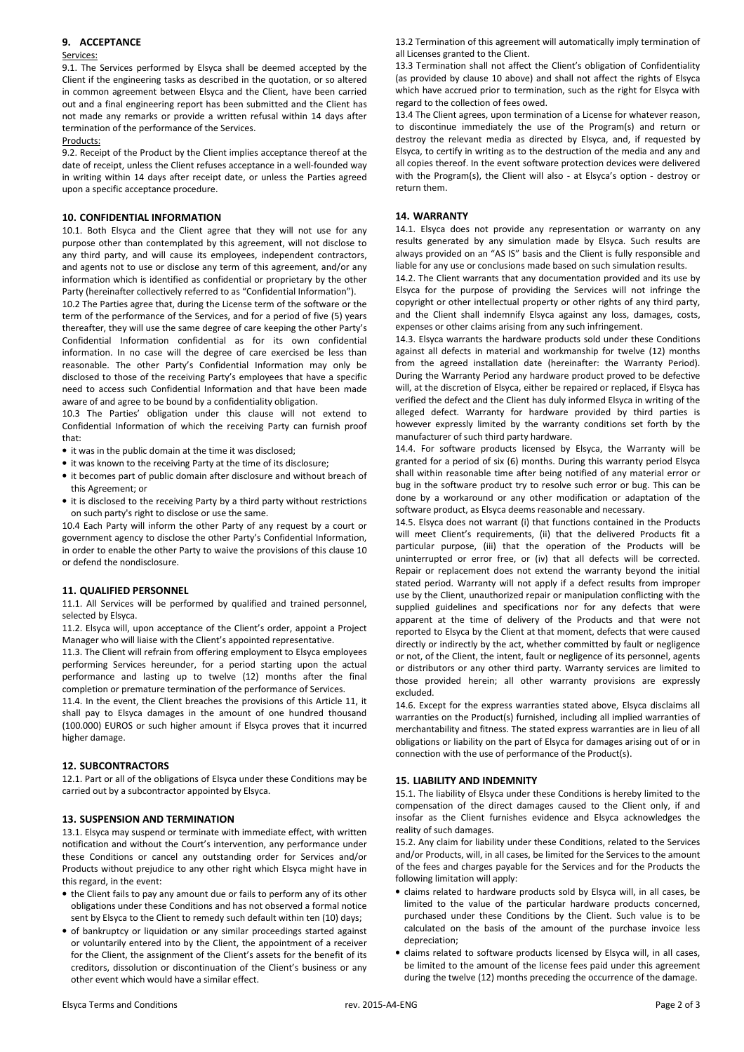# **9. ACCEPTANCE**

#### Services:

9.1. The Services performed by Elsyca shall be deemed accepted by the Client if the engineering tasks as described in the quotation, or so altered in common agreement between Elsyca and the Client, have been carried out and a final engineering report has been submitted and the Client has not made any remarks or provide a written refusal within 14 days after termination of the performance of the Services.

#### Products:

9.2. Receipt of the Product by the Client implies acceptance thereof at the date of receipt, unless the Client refuses acceptance in a well-founded way in writing within 14 days after receipt date, or unless the Parties agreed upon a specific acceptance procedure.

### **10. CONFIDENTIAL INFORMATION**

10.1. Both Elsyca and the Client agree that they will not use for any purpose other than contemplated by this agreement, will not disclose to any third party, and will cause its employees, independent contractors, and agents not to use or disclose any term of this agreement, and/or any information which is identified as confidential or proprietary by the other Party (hereinafter collectively referred to as "Confidential Information").

10.2 The Parties agree that, during the License term of the software or the term of the performance of the Services, and for a period of five (5) years thereafter, they will use the same degree of care keeping the other Party's Confidential Information confidential as for its own confidential information. In no case will the degree of care exercised be less than reasonable. The other Party's Confidential Information may only be disclosed to those of the receiving Party's employees that have a specific need to access such Confidential Information and that have been made aware of and agree to be bound by a confidentiality obligation.

10.3 The Parties' obligation under this clause will not extend to Confidential Information of which the receiving Party can furnish proof that:

- it was in the public domain at the time it was disclosed;
- it was known to the receiving Party at the time of its disclosure;
- it becomes part of public domain after disclosure and without breach of this Agreement; or
- it is disclosed to the receiving Party by a third party without restrictions on such party's right to disclose or use the same.

10.4 Each Party will inform the other Party of any request by a court or government agency to disclose the other Party's Confidential Information, in order to enable the other Party to waive the provisions of this clause 10 or defend the nondisclosure.

### **11. QUALIFIED PERSONNEL**

11.1. All Services will be performed by qualified and trained personnel, selected by Elsyca.

11.2. Elsyca will, upon acceptance of the Client's order, appoint a Project Manager who will liaise with the Client's appointed representative.

11.3. The Client will refrain from offering employment to Elsyca employees performing Services hereunder, for a period starting upon the actual performance and lasting up to twelve (12) months after the final completion or premature termination of the performance of Services.

11.4. In the event, the Client breaches the provisions of this Article 11, it shall pay to Elsyca damages in the amount of one hundred thousand (100.000) EUROS or such higher amount if Elsyca proves that it incurred higher damage.

### **12. SUBCONTRACTORS**

12.1. Part or all of the obligations of Elsyca under these Conditions may be carried out by a subcontractor appointed by Elsyca.

### **13. SUSPENSION AND TERMINATION**

13.1. Elsyca may suspend or terminate with immediate effect, with written notification and without the Court's intervention, any performance under these Conditions or cancel any outstanding order for Services and/or Products without prejudice to any other right which Elsyca might have in this regard, in the event:

- the Client fails to pay any amount due or fails to perform any of its other obligations under these Conditions and has not observed a formal notice sent by Elsyca to the Client to remedy such default within ten (10) days;
- of bankruptcy or liquidation or any similar proceedings started against or voluntarily entered into by the Client, the appointment of a receiver for the Client, the assignment of the Client's assets for the benefit of its creditors, dissolution or discontinuation of the Client's business or any other event which would have a similar effect.

13.2 Termination of this agreement will automatically imply termination of all Licenses granted to the Client.

13.3 Termination shall not affect the Client's obligation of Confidentiality (as provided by clause 10 above) and shall not affect the rights of Elsyca which have accrued prior to termination, such as the right for Elsyca with regard to the collection of fees owed.

13.4 The Client agrees, upon termination of a License for whatever reason, to discontinue immediately the use of the Program(s) and return or destroy the relevant media as directed by Elsyca, and, if requested by Elsyca, to certify in writing as to the destruction of the media and any and all copies thereof. In the event software protection devices were delivered with the Program(s), the Client will also - at Elsyca's option - destroy or return them.

#### **14. WARRANTY**

14.1. Elsyca does not provide any representation or warranty on any results generated by any simulation made by Elsyca. Such results are always provided on an "AS IS" basis and the Client is fully responsible and liable for any use or conclusions made based on such simulation results.

14.2. The Client warrants that any documentation provided and its use by Elsyca for the purpose of providing the Services will not infringe the copyright or other intellectual property or other rights of any third party, and the Client shall indemnify Elsyca against any loss, damages, costs, expenses or other claims arising from any such infringement.

14.3. Elsyca warrants the hardware products sold under these Conditions against all defects in material and workmanship for twelve (12) months from the agreed installation date (hereinafter: the Warranty Period). During the Warranty Period any hardware product proved to be defective will, at the discretion of Elsyca, either be repaired or replaced, if Elsyca has verified the defect and the Client has duly informed Elsyca in writing of the alleged defect. Warranty for hardware provided by third parties is however expressly limited by the warranty conditions set forth by the manufacturer of such third party hardware.

14.4. For software products licensed by Elsyca, the Warranty will be granted for a period of six (6) months. During this warranty period Elsyca shall within reasonable time after being notified of any material error or bug in the software product try to resolve such error or bug. This can be done by a workaround or any other modification or adaptation of the software product, as Elsyca deems reasonable and necessary.

14.5. Elsyca does not warrant (i) that functions contained in the Products will meet Client's requirements, (ii) that the delivered Products fit a particular purpose, (iii) that the operation of the Products will be uninterrupted or error free, or (iv) that all defects will be corrected. Repair or replacement does not extend the warranty beyond the initial stated period. Warranty will not apply if a defect results from improper use by the Client, unauthorized repair or manipulation conflicting with the supplied guidelines and specifications nor for any defects that were apparent at the time of delivery of the Products and that were not reported to Elsyca by the Client at that moment, defects that were caused directly or indirectly by the act, whether committed by fault or negligence or not, of the Client, the intent, fault or negligence of its personnel, agents or distributors or any other third party. Warranty services are limited to those provided herein; all other warranty provisions are expressly excluded.

14.6. Except for the express warranties stated above, Elsyca disclaims all warranties on the Product(s) furnished, including all implied warranties of merchantability and fitness. The stated express warranties are in lieu of all obligations or liability on the part of Elsyca for damages arising out of or in connection with the use of performance of the Product(s).

### **15. LIABILITY AND INDEMNITY**

15.1. The liability of Elsyca under these Conditions is hereby limited to the compensation of the direct damages caused to the Client only, if and insofar as the Client furnishes evidence and Elsyca acknowledges the reality of such damages.

15.2. Any claim for liability under these Conditions, related to the Services and/or Products, will, in all cases, be limited for the Services to the amount of the fees and charges payable for the Services and for the Products the following limitation will apply:

- claims related to hardware products sold by Elsyca will, in all cases, be limited to the value of the particular hardware products concerned, purchased under these Conditions by the Client. Such value is to be calculated on the basis of the amount of the purchase invoice less depreciation;
- claims related to software products licensed by Elsyca will, in all cases, be limited to the amount of the license fees paid under this agreement during the twelve (12) months preceding the occurrence of the damage.